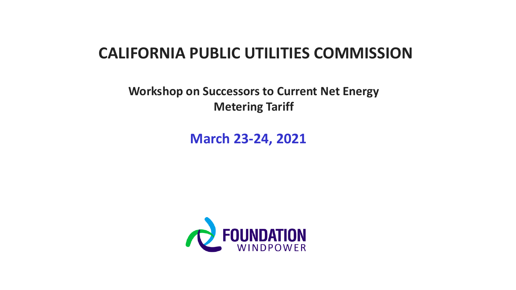### **CALIFORNIA PUBLIC UTILITIES COMMISSION**

**Workshop on Successors to Current Net Energy Metering Tariff**

**March 23-24, 2021**

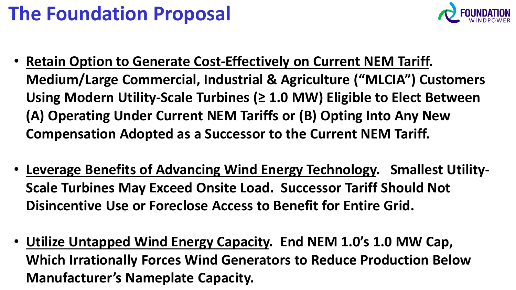# **The Foundation Proposal**



- **Retain Option to Generate Cost-Effectively on Current NEM Tariff. Medium/Large Commercial, Industrial & Agriculture ("MLCIA") Customers Using Modern Utility-Scale Turbines (≥ 1.0 MW) Eligible to Elect Between (A) Operating Under Current NEM Tariffs or (B) Opting Into Any New Compensation Adopted as a Successor to the Current NEM Tariff.**
- **Leverage Benefits of Advancing Wind Energy Technology. Smallest Utility-Scale Turbines May Exceed Onsite Load. Successor Tariff Should Not Disincentive Use or Foreclose Access to Benefit for Entire Grid.**
- **Utilize Untapped Wind Energy Capacity. End NEM 1.0's 1.0 MW Cap, Which Irrationally Forces Wind Generators to Reduce Production Below Manufacturer's Nameplate Capacity.**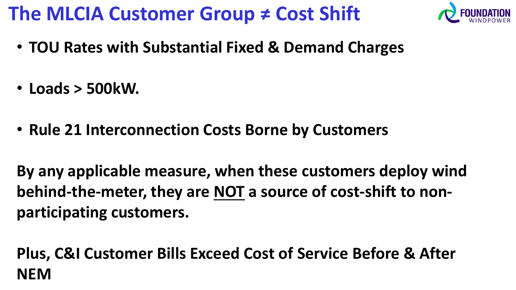## **The MLCIA Customer Group ≠ Cost Shift**



- **TOU Rates with Substantial Fixed & Demand Charges**
- **Loads > 500kW.**
- **Rule 21 Interconnection Costs Borne by Customers**

**By any applicable measure, when these customers deploy wind behind-the-meter, they are NOT a source of cost-shift to nonparticipating customers.**

**Plus, C&I Customer Bills Exceed Cost of Service Before & After NEM**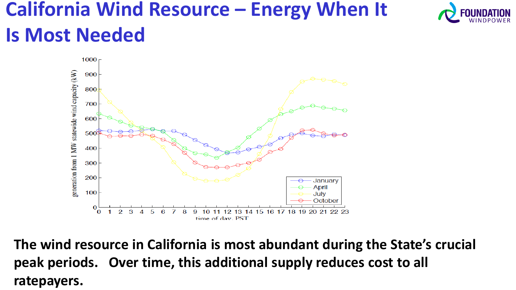## **California Wind Resource – Energy When It Is Most Needed**





**The wind resource in California is most abundant during the State's crucial peak periods. Over time, this additional supply reduces cost to all ratepayers.**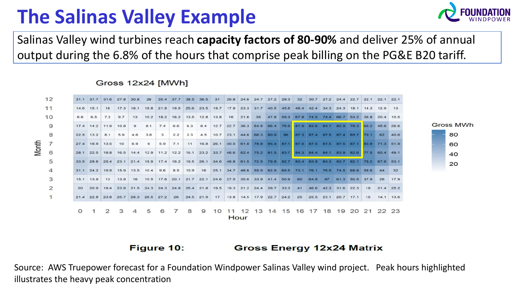## **The Salinas Valley Example**



Salinas Valley wind turbines reach **capacity factors of 80-90%** and deliver 25% of annual output during the 6.8% of the hours that comprise peak billing on the PG&E B20 tariff.

### Gross 12x24 [MWh]



#### Figure 10: **Gross Energy 12x24 Matrix**

Source: AWS Truepower forecast for a Foundation Windpower Salinas Valley wind project. Peak hours highlighted illustrates the heavy peak concentration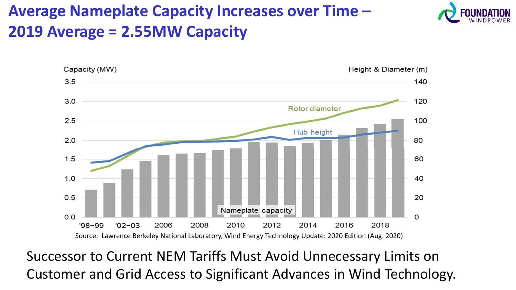## **Average Nameplate Capacity Increases over Time – 2019 Average = 2.55MW Capacity**



Successor to Current NEM Tariffs Must Avoid Unnecessary Limits on Customer and Grid Access to Significant Advances in Wind Technology.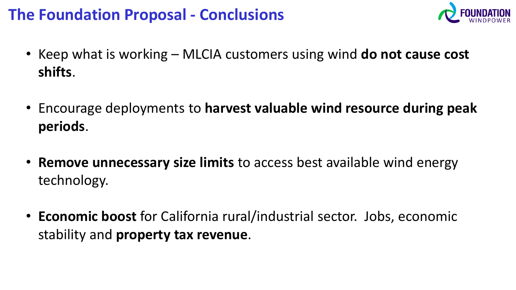### **The Foundation Proposal - Conclusions**



- Keep what is working MLCIA customers using wind **do not cause cost shifts**.
- Encourage deployments to **harvest valuable wind resource during peak periods**.
- **Remove unnecessary size limits** to access best available wind energy technology.
- **Economic boost** for California rural/industrial sector. Jobs, economic stability and **property tax revenue**.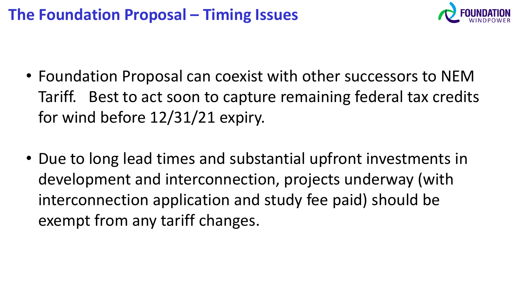### **The Foundation Proposal – Timing Issues**



- Foundation Proposal can coexist with other successors to NEM Tariff. Best to act soon to capture remaining federal tax credits for wind before 12/31/21 expiry.
- Due to long lead times and substantial upfront investments in development and interconnection, projects underway (with interconnection application and study fee paid) should be exempt from any tariff changes.